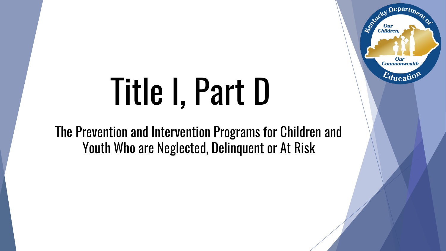### Department Entirety **Our**<br>Children **Our Commonwealth**  $\varepsilon_{\text{ducati}}$

# Title I, Part D

The Prevention and Intervention Programs for Children and Youth Who are Neglected, Delinquent or At Risk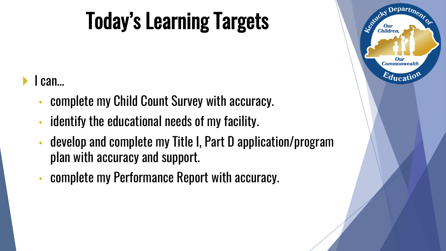## Today's Learning Targets

### I can…

- complete my Child Count Survey with accuracy.
- identify the educational needs of my facility.
- develop and complete my Title I, Part D application/program plan with accuracy and support.
- complete my Performance Report with accuracy.

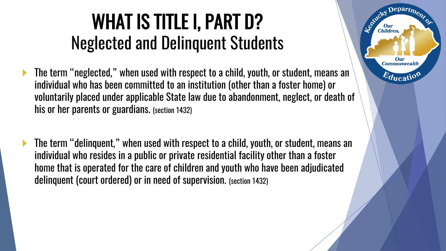### WHAT IS TITLE I, PART D? Neglected and Delinquent Students

Departmer

Our **Commonwealth** 

 $E_{\text{ducatio}}$ 

Leo<sup>xid</sup>cky

**Children** 

- The term "neglected," when used with respect to a child, youth, or student, means an individual who has been committed to an institution (other than a foster home) or voluntarily placed under applicable State law due to abandonment, neglect, or death of his or her parents or guardians. (section 1432)
- The term "delinquent," when used with respect to a child, youth, or student, means an individual who resides in a public or private residential facility other than a foster home that is operated for the care of children and youth who have been adjudicated delinquent (court ordered) or in need of supervision. (section 1432)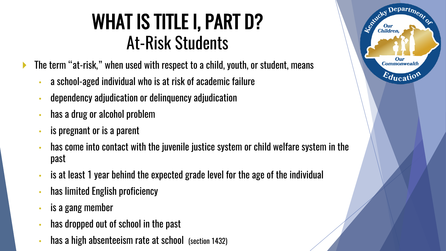### WHAT IS TITLE I, PART D? At-Risk Students

The term "at-risk," when used with respect to a child, youth, or student, means

- a school-aged individual who is at risk of academic failure
- dependency adjudication or delinquency adjudication
- has a drug or alcohol problem
- is pregnant or is a parent
- has come into contact with the juvenile justice system or child welfare system in the past
- is at least 1 year behind the expected grade level for the age of the individual
- has limited English proficiency
- is a gang member
- has dropped out of school in the past
- has a high absenteeism rate at school (section 1432)

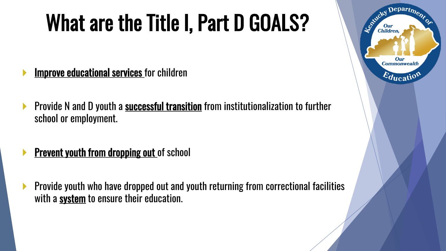## What are the Title I, Part D GOALS?

- **Improve educational services** for children
- **Provide N and D youth a successful transition** from institutionalization to further school or employment.
- **Prevent youth from dropping out of school**
- **Provide youth who have dropped out and youth returning from correctional facilities** with a system to ensure their education.

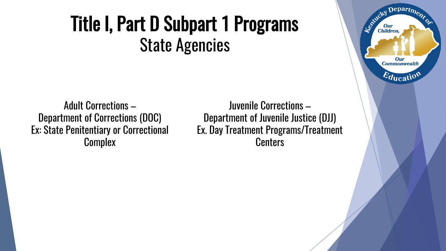### Title I, Part D Subpart 1 Programs State Agencies

Adult Corrections – Department of Corrections (DOC) Ex: State Penitentiary or Correctional **Complex** 

Juvenile Corrections – Department of Juvenile Justice (DJJ) Ex. Day Treatment Programs/Treatment **Centers** 

Department

**Our Commonwealth** 

 $\varepsilon_{\text{ducatio}}$ 

Estucky I

**Our**<br>Children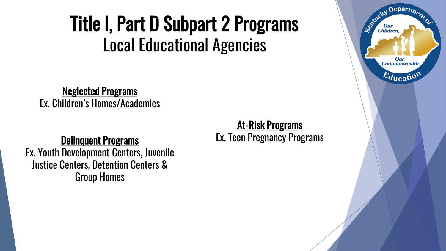### Title I, Part D Subpart 2 Programs Local Educational Agencies

Neglected Programs Ex. Children's Homes/Academies

#### Delinquent Programs

Ex. Youth Development Centers, Juvenile Justice Centers, Detention Centers & Group Homes

#### At-Risk Programs Ex. Teen Pregnancy Programs

Departmer Established I **Our**<br>Children Our **Commonwealth**  $\varepsilon_{\text{qucatio}}$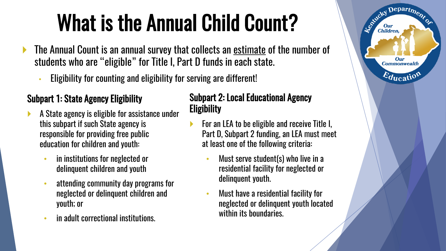## What is the Annual Child Count?

- The Annual Count is an annual survey that collects an estimate of the number of students who are "eligible" for Title I, Part D funds in each state.
	- Eligibility for counting and eligibility for serving are different!

#### Subpart 1: State Agency Eligibility

- A State agency is eligible for assistance under this subpart if such State agency is responsible for providing free public education for children and youth:
	- in institutions for neglected or delinquent children and youth
	- attending community day programs for neglected or delinquent children and youth; or
	- in adult correctional institutions.

#### Subpart 2: Local Educational Agency **Eligibility**

 For an LEA to be eligible and receive Title I, Part D, Subpart 2 funding, an LEA must meet at least one of the following criteria:

Departme.

**Our Commonwealth** 

 $E_{\text{ducatio}}$ 

Entreky I

**Children** 

- Must serve student(s) who live in a residential facility for neglected or delinquent youth.
- Must have a residential facility for neglected or delinquent youth located within its boundaries.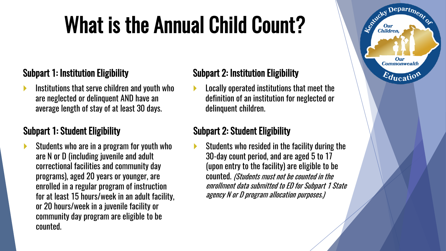## What is the Annual Child Count?

#### Subpart 1: Institution Eligibility

 Institutions that serve children and youth who are neglected or delinquent AND have an average length of stay of at least 30 days.

#### Subpart 1: Student Eligibility

 Students who are in a program for youth who are N or D (including juvenile and adult correctional facilities and community day programs), aged 20 years or younger, are enrolled in a regular program of instruction for at least 15 hours/week in an adult facility, or 20 hours/week in a juvenile facility or community day program are eligible to be counted.

#### Subpart 2: Institution Eligibility

 Locally operated institutions that meet the definition of an institution for neglected or delinquent children.

 $\mathbf{D}$ epart<sub>m</sub>

Our **Commonwealth** 

 $E_{\text{ducati}}$ 

Le Child

**Children** 

#### Subpart 2: Student Eligibility

 Students who resided in the facility during the 30-day count period, and are aged 5 to 17 (upon entry to the facility) are eligible to be counted. (Students must not be counted in the enrollment data submitted to ED for Subpart 1 State agency N or D program allocation purposes.)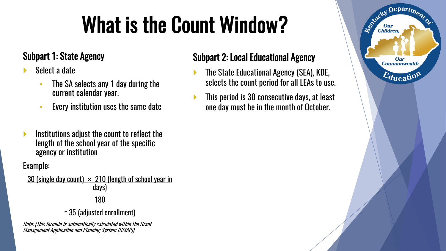## What is the Count Window?

#### Subpart 1: State Agency

- Select a date
	- The SA selects any 1 day during the current calendar year.
	- Every institution uses the same date
- Institutions adjust the count to reflect the length of the school year of the specific agency or institution

Example:

30 (single day count)  $\times$  210 (length of school year in days)

#### 180

= 35 (adjusted enrollment)

Note: (This formula is automatically calculated within the Grant Management Application and Planning System (GMAP))

#### Subpart 2: Local Educational Agency

- The State Educational Agency (SEA), KDE, selects the count period for all LEAs to use.
- This period is 30 consecutive days, at least one day must be in the month of October.

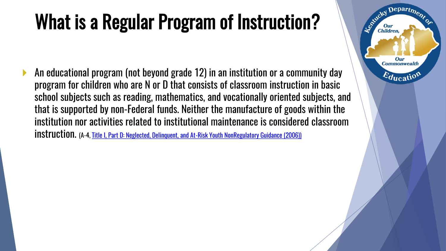### What is a Regular Program of Instruction?

 $\text{Department}$ 

Our **Commonwealth** 

 $E_{\text{ducati}}$ 

Le Child

Children

 An educational program (not beyond grade 12) in an institution or a community day program for children who are N or D that consists of classroom instruction in basic school subjects such as reading, mathematics, and vocationally oriented subjects, and that is supported by non-Federal funds. Neither the manufacture of goods within the institution nor activities related to institutional maintenance is considered classroom instruction. (A-4, [Title I, Part D: Neglected, Delinquent, and At-Risk Youth NonRegulatory](https://neglected-delinquent.ed.gov/sites/default/files/docs/nonregulatoryguidance_FINAL.pdf) Guidance (2006))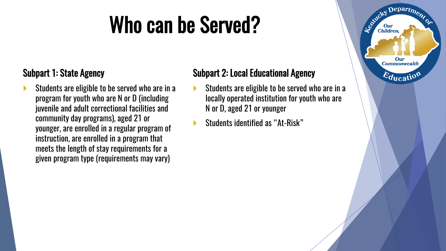### Who can be Served?

#### Subpart 1: State Agency

 Students are eligible to be served who are in a program for youth who are N or D (including juvenile and adult correctional facilities and community day programs), aged 21 or younger, are enrolled in a regular program of instruction, are enrolled in a program that meets the length of stay requirements for a given program type (requirements may vary)

#### Subpart 2: Local Educational Agency

- Students are eligible to be served who are in a locally operated institution for youth who are N or D, aged 21 or younger
- Students identified as "At-Risk"

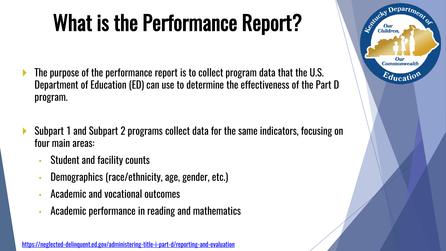## What is the Performance Report?

- The purpose of the performance report is to collect program data that the U.S. Department of Education (ED) can use to determine the effectiveness of the Part D program.
- Subpart 1 and Subpart 2 programs collect data for the same indicators, focusing on four main areas:
	- Student and facility counts
	- Demographics (race/ethnicity, age, gender, etc.)
	- Academic and vocational outcomes
	- Academic performance in reading and mathematics

<https://neglected-delinquent.ed.gov/administering-title-i-part-d/reporting-and-evaluation>

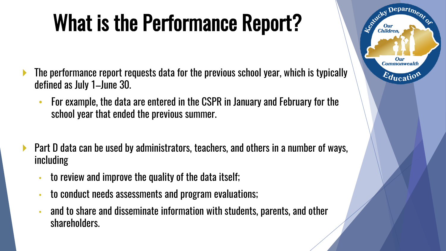## What is the Performance Report?

- The performance report requests data for the previous school year, which is typically defined as July 1–June 30.
	- For example, the data are entered in the CSPR in January and February for the school year that ended the previous summer.
- ▶ Part D data can be used by administrators, teachers, and others in a number of ways, including
	- to review and improve the quality of the data itself;
	- to conduct needs assessments and program evaluations;
	- and to share and disseminate information with students, parents, and other shareholders.

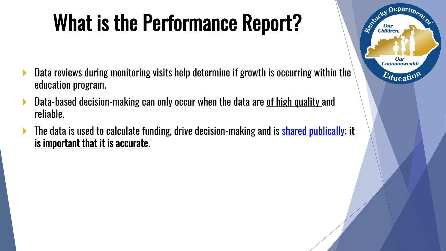## What is the Performance Report?

Departme.

Our **Commonwealth** 

 $\varepsilon_{\text{ducati}}$ 

Le Child

**Our**<br>Children

- **Data reviews during monitoring visits help determine if growth is occurring within the** education program.
- **Data-based decision-making can only occur when the data are of high quality and** reliable.
- The data is used to calculate funding, drive decision-making and is [shared publically;](https://neglected-delinquent.ed.gov/fast-facts/kentucky) it is important that it is accurate.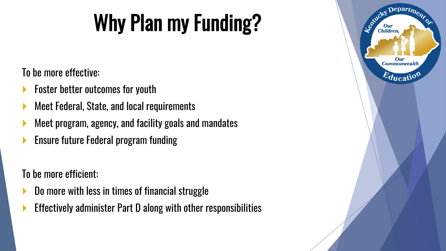## Why Plan my Funding?

### To be more effective:

- Foster better outcomes for youth
- Meet Federal, State, and local requirements
- Meet program, agency, and facility goals and mandates
- Ensure future Federal program funding

To be more efficient:

- Do more with less in times of financial struggle
- Effectively administer Part D along with other responsibilities

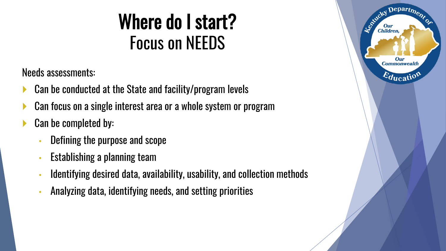### Where do I start? Focus on NEEDS

Needs assessments:

- Can be conducted at the State and facility/program levels
- Can focus on a single interest area or a whole system or program
- Can be completed by:
	- Defining the purpose and scope
	- Establishing a planning team
	- Identifying desired data, availability, usability, and collection methods
	- Analyzing data, identifying needs, and setting priorities

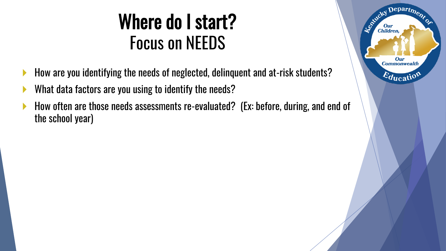### Where do I start? Focus on NEEDS

- How are you identifying the needs of neglected, delinquent and at-risk students?
- What data factors are you using to identify the needs?
- How often are those needs assessments re-evaluated? (Ex: before, during, and end of the school year)

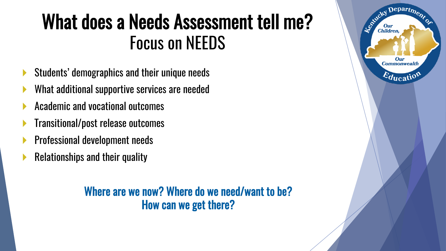### What does a Needs Assessment tell me? Focus on NEEDS

- Students' demographics and their unique needs
- What additional supportive services are needed
- Academic and vocational outcomes
- Transitional/post release outcomes
- Professional development needs
- Relationships and their quality

Where are we now? Where do we need/want to be? How can we get there?

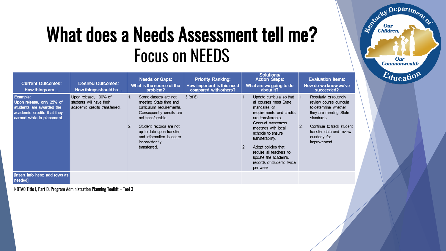### What does a Needs Assessment tell me? Focus on NEEDS

Department

Our **Commonwealth** 

Education

Established I

Our<br>Children,

| <b>Current Outcomes:</b><br>How things are                                                                                           | <b>Desired Outcomes:</b><br>How things should be                                   | <b>Needs or Gaps:</b><br>What is the source of the<br>problem?                                                                                                                                                                                                              | <b>Priority Ranking:</b><br>How important is this need<br>compared with others? | Solutions/<br><b>Action Steps:</b><br>What are we going to do<br>about it?                                                                                                                                                                                                                                                           | <b>Evaluation Items:</b><br>How do we know we've<br>succeeded?                                                                                                                                                    |
|--------------------------------------------------------------------------------------------------------------------------------------|------------------------------------------------------------------------------------|-----------------------------------------------------------------------------------------------------------------------------------------------------------------------------------------------------------------------------------------------------------------------------|---------------------------------------------------------------------------------|--------------------------------------------------------------------------------------------------------------------------------------------------------------------------------------------------------------------------------------------------------------------------------------------------------------------------------------|-------------------------------------------------------------------------------------------------------------------------------------------------------------------------------------------------------------------|
| <b>Example:</b><br>Upon release, only 25% of<br>students are awarded the<br>academic credits that they<br>earned while in placement. | Upon release, 100% of<br>students will have their<br>academic credits transferred. | Some classes are not<br>$\mathbf{1}$ .<br>meeting State time and<br>curriculum requirements.<br>Consequently credits are<br>not transferrable.<br>Student records are not<br>2<br>up to date upon transfer.<br>and information is lost or<br>inconsistently<br>transferred. | $3($ of 6 $)$                                                                   | Update curricula so that 1.<br>all courses meet State<br>mandates or<br>requirements and credits<br>are transferrable.<br>Conduct awareness<br>meetings with local<br>schools to ensure<br>transferability.<br>Adopt policies that<br>2.<br>require all teachers to<br>update the academic<br>records of students twice<br>per week. | Regularly or routinely<br>review course curricula<br>to determine whether<br>they are meeting State<br>standards.<br>2.<br>Continue to track student<br>transfer data and review<br>quarterly for<br>improvement. |
| [Insert info here; add rows as<br>needed]                                                                                            |                                                                                    |                                                                                                                                                                                                                                                                             |                                                                                 |                                                                                                                                                                                                                                                                                                                                      |                                                                                                                                                                                                                   |

NDTAC Title I, Part D, Program Administration Planning Toolkit – Tool 3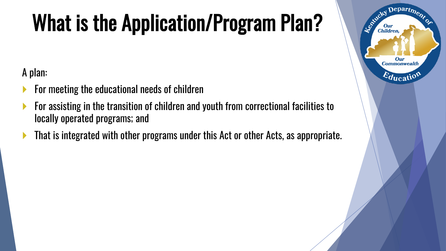## What is the Application/Program Plan?

Departme.

Our **Commonwealth** 

 $E_{\text{ducati}}$ 

Le Child

**Our**<br>Children

A plan:

- For meeting the educational needs of children
- For assisting in the transition of children and youth from correctional facilities to locally operated programs; and
- **That is integrated with other programs under this Act or other Acts, as appropriate.**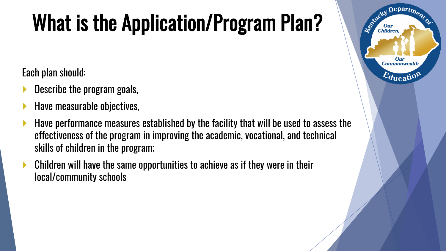## What is the Application/Program Plan?

Departme,

Our **Commonwealth** 

 $E_{\text{ducati}}$ 

Le Child

**Children** 

Each plan should:

- Describe the program goals,
- Have measurable objectives,
- Have performance measures established by the facility that will be used to assess the effectiveness of the program in improving the academic, vocational, and technical skills of children in the program;
- Children will have the same opportunities to achieve as if they were in their local/community schools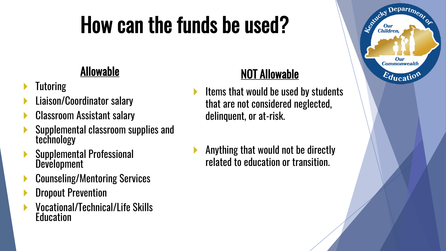## How can the funds be used?

### Allowable

- **Tutoring**
- Liaison/Coordinator salary
- Classroom Assistant salary
- Supplemental classroom supplies and technology
- Supplemental Professional Development
- Counseling/Mentoring Services
- Dropout Prevention
- Vocational/Technical/Life Skills **Education**

### NOT Allowable

- $\blacktriangleright$  Items that would be used by students that are not considered neglected, delinquent, or at-risk.
- Anything that would not be directly related to education or transition.

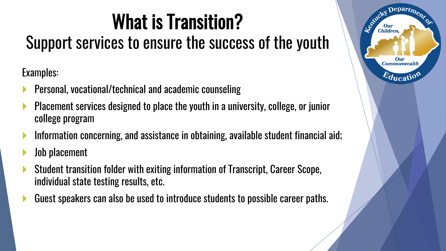## What is Transition?

### Support services to ensure the success of the youth

Examples:

- Personal, vocational/technical and academic counseling
- Placement services designed to place the youth in a university, college, or junior college program
- Information concerning, and assistance in obtaining, available student financial aid;
- Job placement
- Student transition folder with exiting information of Transcript, Career Scope, individual state testing results, etc.
- Guest speakers can also be used to introduce students to possible career paths.

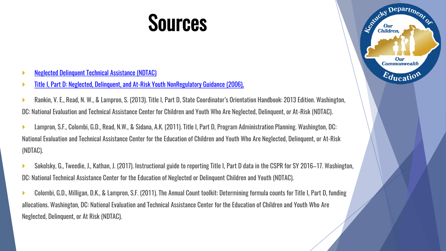### **Sources**

Departme.

**Our Commonwealth** 

 $\varepsilon_{\text{ducati}}$ 

Againeky I

**Our**<br>Children,

- [Neglected Delinquent Technical Assistance \(NDTAC\)](https://neglected-delinquent.ed.gov/)
- [Title I, Part D: Neglected, Delinquent, and At-Risk Youth NonRegulatory](https://neglected-delinquent.ed.gov/sites/default/files/docs/nonregulatoryguidance_FINAL.pdf) Guidance (2006),
- Rankin, V. E., Read, N. W., & Lampron, S. (2013). Title I, Part D, State Coordinator's Orientation Handbook: 2013 Edition. Washington, DC: National Evaluation and Technical Assistance Center for Children and Youth Who Are Neglected, Delinquent, or At-Risk (NDTAC).
- Lampron, S.F., Colombi, G.D., Read, N.W., & Sidana, A.K. (2011). Title I, Part D, Program Administration Planning. Washington, DC: National Evaluation and Technical Assistance Center for the Education of Children and Youth Who Are Neglected, Delinquent, or At-Risk (NDTAC).
- Sokolsky, G., Tweedie, J., Kathan, J. (2017). Instructional guide to reporting Title I, Part D data in the CSPR for SY 2016–17. Washington, DC: National Technical Assistance Center for the Education of Neglected or Delinquent Children and Youth (NDTAC).
- Colombi, G.D., Milligan, D.K., & Lampron, S.F. (2011). The Annual Count toolkit: Determining formula counts for Title I, Part D, funding allocations. Washington, DC: National Evaluation and Technical Assistance Center for the Education of Children and Youth Who Are Neglected, Delinquent, or At Risk (NDTAC).